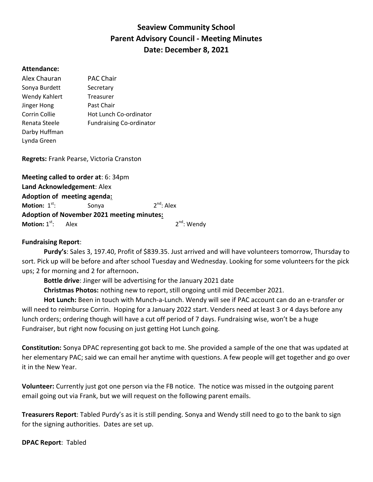## Seaview Community School Parent Advisory Council - Meeting Minutes Date: December 8, 2021

## Attendance:

| Alex Chauran  | <b>PAC Chair</b>                |
|---------------|---------------------------------|
| Sonya Burdett | Secretary                       |
| Wendy Kahlert | Treasurer                       |
| Jinger Hong   | Past Chair                      |
| Corrin Collie | Hot Lunch Co-ordinator          |
| Renata Steele | <b>Fundraising Co-ordinator</b> |
| Darby Huffman |                                 |
| Lynda Green   |                                 |

Regrets: Frank Pearse, Victoria Cranston

Meeting called to order at: 6: 34pm Land Acknowledgement: Alex Adoption of meeting agenda: Motion:  $1<sup>st</sup>$ : Sonya 2<sup>nd</sup>: Alex Adoption of November 2021 meeting minutes: **Motion:**  $1^{st}$ : Alex 2<sup>nd</sup>: Wendy

## Fundraising Report:

 Purdy's: Sales 3, 197.40, Profit of \$839.35. Just arrived and will have volunteers tomorrow, Thursday to sort. Pick up will be before and after school Tuesday and Wednesday. Looking for some volunteers for the pick ups; 2 for morning and 2 for afternoon.

Bottle drive: Jinger will be advertising for the January 2021 date

Christmas Photos: nothing new to report, still ongoing until mid December 2021.

Hot Lunch: Been in touch with Munch-a-Lunch. Wendy will see if PAC account can do an e-transfer or will need to reimburse Corrin. Hoping for a January 2022 start. Venders need at least 3 or 4 days before any lunch orders; ordering though will have a cut off period of 7 days. Fundraising wise, won't be a huge Fundraiser, but right now focusing on just getting Hot Lunch going.

Constitution: Sonya DPAC representing got back to me. She provided a sample of the one that was updated at her elementary PAC; said we can email her anytime with questions. A few people will get together and go over it in the New Year.

Volunteer: Currently just got one person via the FB notice. The notice was missed in the outgoing parent email going out via Frank, but we will request on the following parent emails.

Treasurers Report: Tabled Purdy's as it is still pending. Sonya and Wendy still need to go to the bank to sign for the signing authorities. Dates are set up.

DPAC Report: Tabled